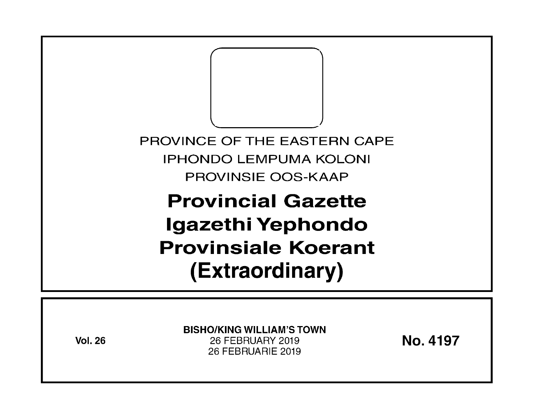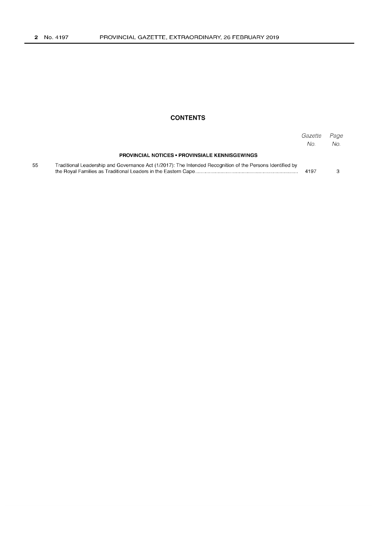## **CONTENTS**

|    |                                                                                                           | Gazette<br>No. | Page<br>No. |
|----|-----------------------------------------------------------------------------------------------------------|----------------|-------------|
|    | <b>PROVINCIAL NOTICES • PROVINSIALE KENNISGEWINGS</b>                                                     |                |             |
| 55 | Traditional Leadership and Governance Act (1/2017): The Intended Recognition of the Persons Identified by | 4197           |             |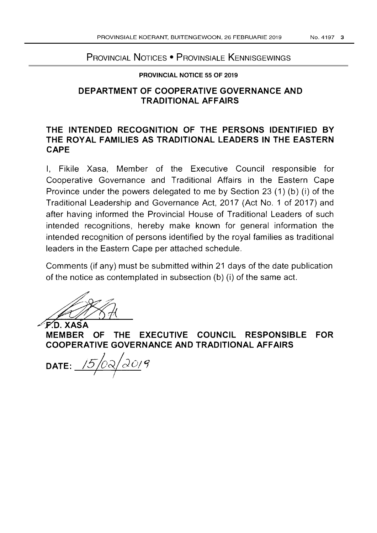### No.4197 3

# PROVINCIAL NOTICES • PROVINSIALE KENNISGEWINGS

### **PROVINCIAL NOTICE 55 OF** 2019

## **DEPARTMENT OF COOPERATIVE GOVERNANCE AND TRADITIONAL AFFAIRS**

# **THE INTENDED RECOGNITION OF THE PERSONS IDENTIFIED BY THE ROYAL FAMILIES AS TRADITIONAL LEADERS IN THE EASTERN CAPE**

I, Fikile Xasa, Member of the Executive Council responsible for Cooperative Governance and Traditional Affairs in the Eastern Cape Province under the powers delegated to me by Section 23 (1) (b) (i) of the Traditional Leadership and Governance Act, 2017 (Act No.1 of 2017) and after having informed the Provincial House of Traditional Leaders of such intended recognitions, hereby make known for general information the intended recognition of persons identified by the royal families as traditional leaders in the Eastern Cape per attached schedule.

Comments (if any) must be submitted within 21 days of the date publication of the notice as contemplated in subsection (b) (i) of the same act. Comments (if any) must be submitted within 21 days of the date publication<br>of the notice as contemplated in subsection (b) (i) of the same act.<br>F.D. XASA<br>MEMBER OF THE EXECUTIVE COUNCIL RESPONSIBLE FOR

**COOPERATIVE GOVERNANCE AND TRADITIONAL AFFAIRS** 

**DATE:**  $\frac{15}{0} \frac{\partial \sqrt{10}}{\partial \sqrt{9}}$